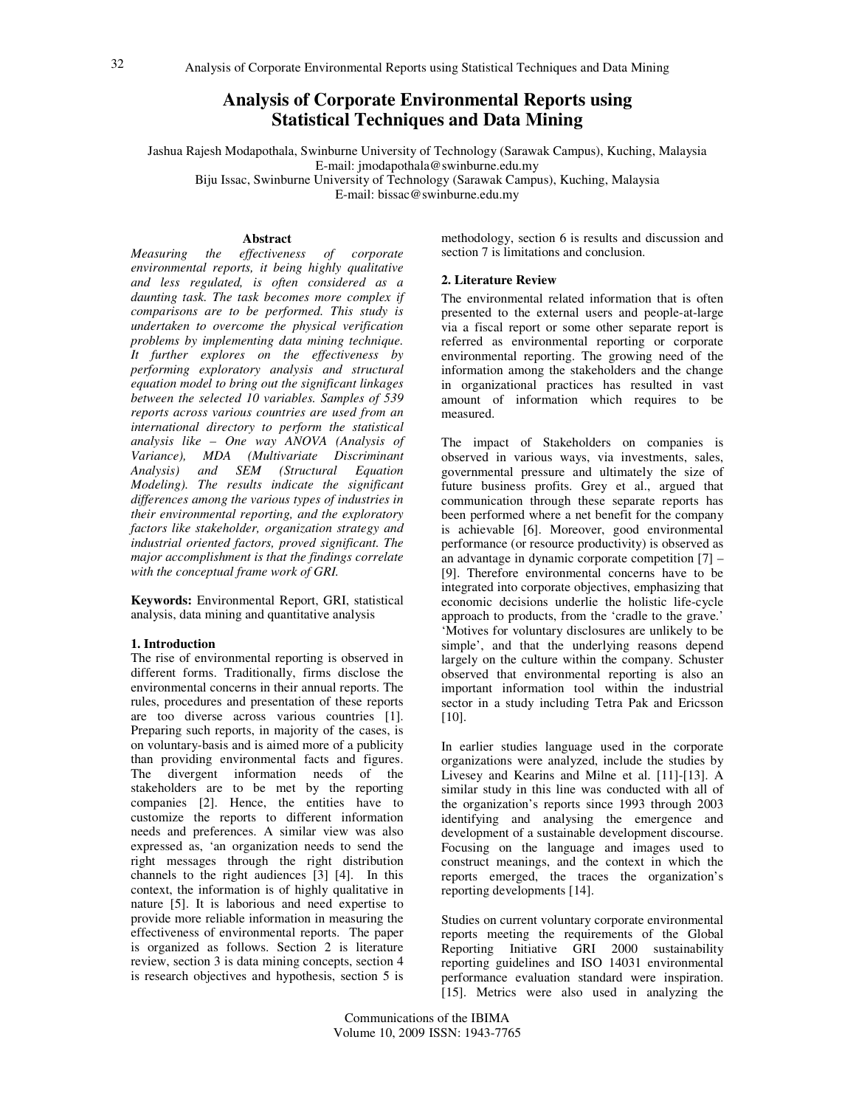# **Analysis of Corporate Environmental Reports using Statistical Techniques and Data Mining**

Jashua Rajesh Modapothala, Swinburne University of Technology (Sarawak Campus), Kuching, Malaysia E-mail: jmodapothala@swinburne.edu.my

Biju Issac, Swinburne University of Technology (Sarawak Campus), Kuching, Malaysia

E-mail: bissac@swinburne.edu.my

## **Abstract**

*Measuring the effectiveness of corporate environmental reports, it being highly qualitative and less regulated, is often considered as a daunting task. The task becomes more complex if comparisons are to be performed. This study is undertaken to overcome the physical verification problems by implementing data mining technique. It further explores on the effectiveness by performing exploratory analysis and structural equation model to bring out the significant linkages between the selected 10 variables. Samples of 539 reports across various countries are used from an international directory to perform the statistical analysis like – One way ANOVA (Analysis of Variance), MDA (Multivariate Discriminant Analysis) and SEM (Structural Equation Modeling). The results indicate the significant differences among the various types of industries in their environmental reporting, and the exploratory factors like stakeholder, organization strategy and industrial oriented factors, proved significant. The major accomplishment is that the findings correlate with the conceptual frame work of GRI.* 

**Keywords:** Environmental Report, GRI, statistical analysis, data mining and quantitative analysis

## **1. Introduction**

The rise of environmental reporting is observed in different forms. Traditionally, firms disclose the environmental concerns in their annual reports. The rules, procedures and presentation of these reports are too diverse across various countries [1]. Preparing such reports, in majority of the cases, is on voluntary-basis and is aimed more of a publicity than providing environmental facts and figures. The divergent information needs of the stakeholders are to be met by the reporting companies [2]. Hence, the entities have to customize the reports to different information needs and preferences. A similar view was also expressed as, 'an organization needs to send the right messages through the right distribution channels to the right audiences [3] [4]. In this context, the information is of highly qualitative in nature [5]. It is laborious and need expertise to provide more reliable information in measuring the effectiveness of environmental reports. The paper is organized as follows. Section 2 is literature review, section 3 is data mining concepts, section 4 is research objectives and hypothesis, section 5 is

methodology, section 6 is results and discussion and section 7 is limitations and conclusion.

## **2. Literature Review**

The environmental related information that is often presented to the external users and people-at-large via a fiscal report or some other separate report is referred as environmental reporting or corporate environmental reporting. The growing need of the information among the stakeholders and the change in organizational practices has resulted in vast amount of information which requires to be measured.

The impact of Stakeholders on companies is observed in various ways, via investments, sales, governmental pressure and ultimately the size of future business profits. Grey et al., argued that communication through these separate reports has been performed where a net benefit for the company is achievable [6]. Moreover, good environmental performance (or resource productivity) is observed as an advantage in dynamic corporate competition [7] – [9]. Therefore environmental concerns have to be integrated into corporate objectives, emphasizing that economic decisions underlie the holistic life-cycle approach to products, from the 'cradle to the grave.' 'Motives for voluntary disclosures are unlikely to be simple', and that the underlying reasons depend largely on the culture within the company. Schuster observed that environmental reporting is also an important information tool within the industrial sector in a study including Tetra Pak and Ericsson [10].

In earlier studies language used in the corporate organizations were analyzed, include the studies by Livesey and Kearins and Milne et al. [11]-[13]. A similar study in this line was conducted with all of the organization's reports since 1993 through 2003 identifying and analysing the emergence and development of a sustainable development discourse. Focusing on the language and images used to construct meanings, and the context in which the reports emerged, the traces the organization's reporting developments [14].

Studies on current voluntary corporate environmental reports meeting the requirements of the Global Reporting Initiative GRI 2000 sustainability reporting guidelines and ISO 14031 environmental performance evaluation standard were inspiration. [15]. Metrics were also used in analyzing the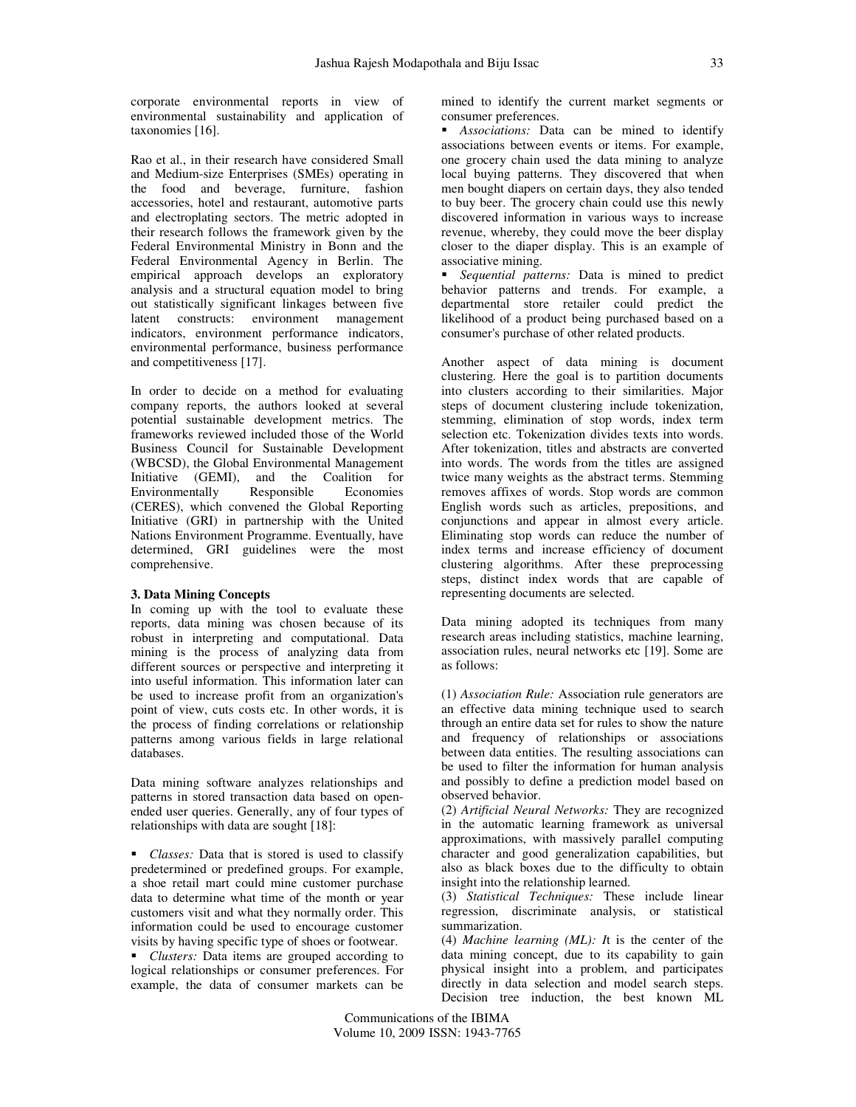corporate environmental reports in view of environmental sustainability and application of taxonomies [16].

Rao et al., in their research have considered Small and Medium-size Enterprises (SMEs) operating in the food and beverage, furniture, fashion accessories, hotel and restaurant, automotive parts and electroplating sectors. The metric adopted in their research follows the framework given by the Federal Environmental Ministry in Bonn and the Federal Environmental Agency in Berlin. The empirical approach develops an exploratory analysis and a structural equation model to bring out statistically significant linkages between five latent constructs: environment management indicators, environment performance indicators, environmental performance, business performance and competitiveness [17].

In order to decide on a method for evaluating company reports, the authors looked at several potential sustainable development metrics. The frameworks reviewed included those of the World Business Council for Sustainable Development (WBCSD), the Global Environmental Management Initiative (GEMI), and the Coalition for<br>Environmentally Responsible Economies Environmentally (CERES), which convened the Global Reporting Initiative (GRI) in partnership with the United Nations Environment Programme. Eventually, have determined, GRI guidelines were the most comprehensive.

## **3. Data Mining Concepts**

In coming up with the tool to evaluate these reports, data mining was chosen because of its robust in interpreting and computational. Data mining is the process of analyzing data from different sources or perspective and interpreting it into useful information. This information later can be used to increase profit from an organization's point of view, cuts costs etc. In other words, it is the process of finding correlations or relationship patterns among various fields in large relational databases.

Data mining software analyzes relationships and patterns in stored transaction data based on openended user queries. Generally, any of four types of relationships with data are sought [18]:

 *Classes:* Data that is stored is used to classify predetermined or predefined groups. For example, a shoe retail mart could mine customer purchase data to determine what time of the month or year customers visit and what they normally order. This information could be used to encourage customer visits by having specific type of shoes or footwear.

• *Clusters:* Data items are grouped according to logical relationships or consumer preferences. For example, the data of consumer markets can be

mined to identify the current market segments or consumer preferences.

**Associations:** Data can be mined to identify associations between events or items. For example, one grocery chain used the data mining to analyze local buying patterns. They discovered that when men bought diapers on certain days, they also tended to buy beer. The grocery chain could use this newly discovered information in various ways to increase revenue, whereby, they could move the beer display closer to the diaper display. This is an example of associative mining.

 *Sequential patterns:* Data is mined to predict behavior patterns and trends. For example, a departmental store retailer could predict the likelihood of a product being purchased based on a consumer's purchase of other related products.

Another aspect of data mining is document clustering. Here the goal is to partition documents into clusters according to their similarities. Major steps of document clustering include tokenization, stemming, elimination of stop words, index term selection etc. Tokenization divides texts into words. After tokenization, titles and abstracts are converted into words. The words from the titles are assigned twice many weights as the abstract terms. Stemming removes affixes of words. Stop words are common English words such as articles, prepositions, and conjunctions and appear in almost every article. Eliminating stop words can reduce the number of index terms and increase efficiency of document clustering algorithms. After these preprocessing steps, distinct index words that are capable of representing documents are selected.

Data mining adopted its techniques from many research areas including statistics, machine learning, association rules, neural networks etc [19]. Some are as follows:

(1) *Association Rule:* Association rule generators are an effective data mining technique used to search through an entire data set for rules to show the nature and frequency of relationships or associations between data entities. The resulting associations can be used to filter the information for human analysis and possibly to define a prediction model based on observed behavior.

(2) *Artificial Neural Networks:* They are recognized in the automatic learning framework as universal approximations, with massively parallel computing character and good generalization capabilities, but also as black boxes due to the difficulty to obtain insight into the relationship learned.

(3) *Statistical Techniques:* These include linear regression, discriminate analysis, or statistical summarization.

(4) *Machine learning (ML): I*t is the center of the data mining concept, due to its capability to gain physical insight into a problem, and participates directly in data selection and model search steps. Decision tree induction, the best known ML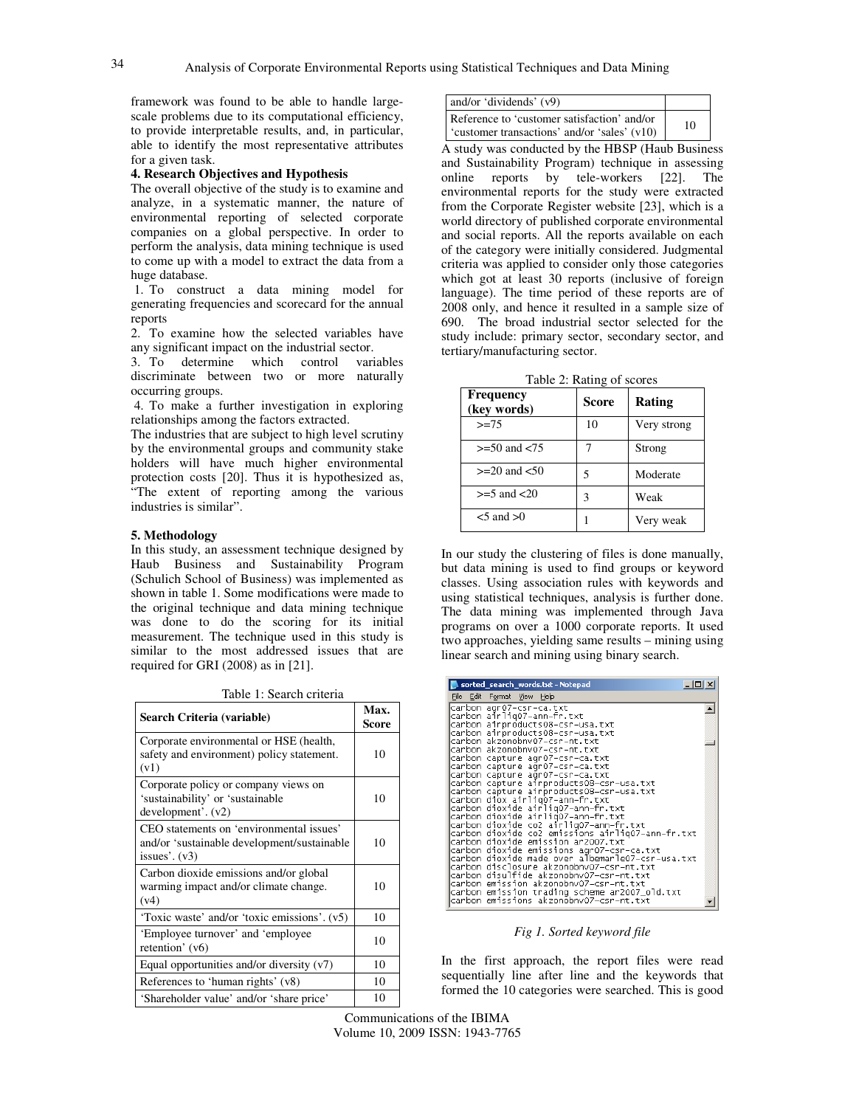framework was found to be able to handle largescale problems due to its computational efficiency, to provide interpretable results, and, in particular, able to identify the most representative attributes for a given task.

## **4. Research Objectives and Hypothesis**

The overall objective of the study is to examine and analyze, in a systematic manner, the nature of environmental reporting of selected corporate companies on a global perspective. In order to perform the analysis, data mining technique is used to come up with a model to extract the data from a huge database.

 1. To construct a data mining model for generating frequencies and scorecard for the annual reports

2. To examine how the selected variables have any significant impact on the industrial sector.

3. To determine which control variables discriminate between two or more naturally occurring groups.

 4. To make a further investigation in exploring relationships among the factors extracted.

The industries that are subject to high level scrutiny by the environmental groups and community stake holders will have much higher environmental protection costs [20]. Thus it is hypothesized as, The extent of reporting among the various industries is similar".

## **5. Methodology**

In this study, an assessment technique designed by Haub Business and Sustainability Program (Schulich School of Business) was implemented as shown in table 1. Some modifications were made to the original technique and data mining technique was done to do the scoring for its initial measurement. The technique used in this study is similar to the most addressed issues that are required for GRI (2008) as in [21].

Table 1: Search criteria

| Tavit I. Staftli tihtila                                                                                   |               |  |  |
|------------------------------------------------------------------------------------------------------------|---------------|--|--|
| Search Criteria (variable)                                                                                 | Max.<br>Score |  |  |
| Corporate environmental or HSE (health,<br>safety and environment) policy statement.<br>(v1)               | 10            |  |  |
| Corporate policy or company views on<br>'sustainability' or 'sustainable<br>development'.(v2)              | 10            |  |  |
| CEO statements on 'environmental issues'<br>and/or 'sustainable development/sustainable<br>issues'. $(v3)$ | 10            |  |  |
| Carbon dioxide emissions and/or global<br>warming impact and/or climate change.<br>(v4)                    | 10            |  |  |
| 'Toxic waste' and/or 'toxic emissions'. (v5)                                                               | 10            |  |  |
| 'Employee turnover' and 'employee<br>retention' $(v6)$                                                     | 10            |  |  |
| Equal opportunities and/or diversity $(v7)$                                                                | 10            |  |  |
| References to 'human rights' (v8)                                                                          | 10            |  |  |
| 'Shareholder value' and/or 'share price'                                                                   | 10            |  |  |

| and/or 'dividends' $(v9)$                    |    |
|----------------------------------------------|----|
| Reference to 'customer satisfaction' and/or  | 10 |
| 'customer transactions' and/or 'sales' (v10) |    |

A study was conducted by the HBSP (Haub Business and Sustainability Program) technique in assessing online reports by tele-workers [22]. The environmental reports for the study were extracted from the Corporate Register website [23], which is a world directory of published corporate environmental and social reports. All the reports available on each of the category were initially considered. Judgmental criteria was applied to consider only those categories which got at least 30 reports (inclusive of foreign language). The time period of these reports are of 2008 only, and hence it resulted in a sample size of 690. The broad industrial sector selected for the study include: primary sector, secondary sector, and tertiary/manufacturing sector.

Table 2: Rating of scores

| <b>Frequency</b><br>(key words) | Score | Rating      |
|---------------------------------|-------|-------------|
| $>= 75$                         | 10    | Very strong |
| $>= 50$ and $< 75$              |       | Strong      |
| $>= 20$ and $< 50$              | 5     | Moderate    |
| $>= 5$ and $< 20$               | 3     | Weak        |
| $<$ 5 and $>$ 0                 |       | Very weak   |

In our study the clustering of files is done manually, but data mining is used to find groups or keyword classes. Using association rules with keywords and using statistical techniques, analysis is further done. The data mining was implemented through Java programs on over a 1000 corporate reports. It used two approaches, yielding same results – mining using linear search and mining using binary search.

|  | sorted_search_words.txt - Notepad                                                 |  |  |                                                                                                | $     -$ |  |
|--|-----------------------------------------------------------------------------------|--|--|------------------------------------------------------------------------------------------------|----------|--|
|  | File Edit Format View Help                                                        |  |  |                                                                                                |          |  |
|  | carbon agr07-csr-ca.txt                                                           |  |  |                                                                                                |          |  |
|  | carbon airlig07-ann-fr.txt                                                        |  |  |                                                                                                |          |  |
|  | carbon airproducts08-csr-usa.txt<br>carbon airproducts08-csr-usa.txt              |  |  |                                                                                                |          |  |
|  |                                                                                   |  |  |                                                                                                |          |  |
|  | carbon akzonobnv07–csr–nt.txt                                                     |  |  |                                                                                                |          |  |
|  | carbon akzonobnv07–csr–nt.txt                                                     |  |  |                                                                                                |          |  |
|  | carbon capture agr07-csr-ca.txt                                                   |  |  |                                                                                                |          |  |
|  | carbon capture agr07-csr-ca.txt                                                   |  |  |                                                                                                |          |  |
|  |                                                                                   |  |  | carbon capture agr07-csr-ca.txt<br> carbon capture airproducts08-csr-usa.txt                   |          |  |
|  |                                                                                   |  |  | carbon capture airproducts08-csr-usa.txt                                                       |          |  |
|  | carbon diox airlig07-ann-fr.txt                                                   |  |  |                                                                                                |          |  |
|  | carbon dioxide airlig07-ann-fr.txt                                                |  |  |                                                                                                |          |  |
|  | carbon dioxide airlig07-ann-fr.txt                                                |  |  |                                                                                                |          |  |
|  |                                                                                   |  |  | carbon dioxide co2 airlig07-ann-fr.txt<br>carbon dioxide co2 emissions airlig07-ann-fr.txt     |          |  |
|  |                                                                                   |  |  |                                                                                                |          |  |
|  | carbon dioxide emission ar2007.txt                                                |  |  |                                                                                                |          |  |
|  |                                                                                   |  |  | carbon dioxide emissions agrO7-csr-ca.txt<br> carbon dioxide made over albemarleO7-csr-usa.txt |          |  |
|  |                                                                                   |  |  |                                                                                                |          |  |
|  |                                                                                   |  |  | carbon disclosure akzonobnv07-csr-nt.txt                                                       |          |  |
|  | carbon disulfide akzonobnv07-csr-nt.txt<br>carbon emission akzonobnv07-csr-nt.txt |  |  |                                                                                                |          |  |
|  |                                                                                   |  |  | carbon emission trading scheme ar2007_old.txt                                                  |          |  |
|  | carbon emissions akzonobnv07-csr-nt.txt                                           |  |  |                                                                                                |          |  |
|  |                                                                                   |  |  |                                                                                                |          |  |

### *Fig 1. Sorted keyword file*

In the first approach, the report files were read sequentially line after line and the keywords that formed the 10 categories were searched. This is good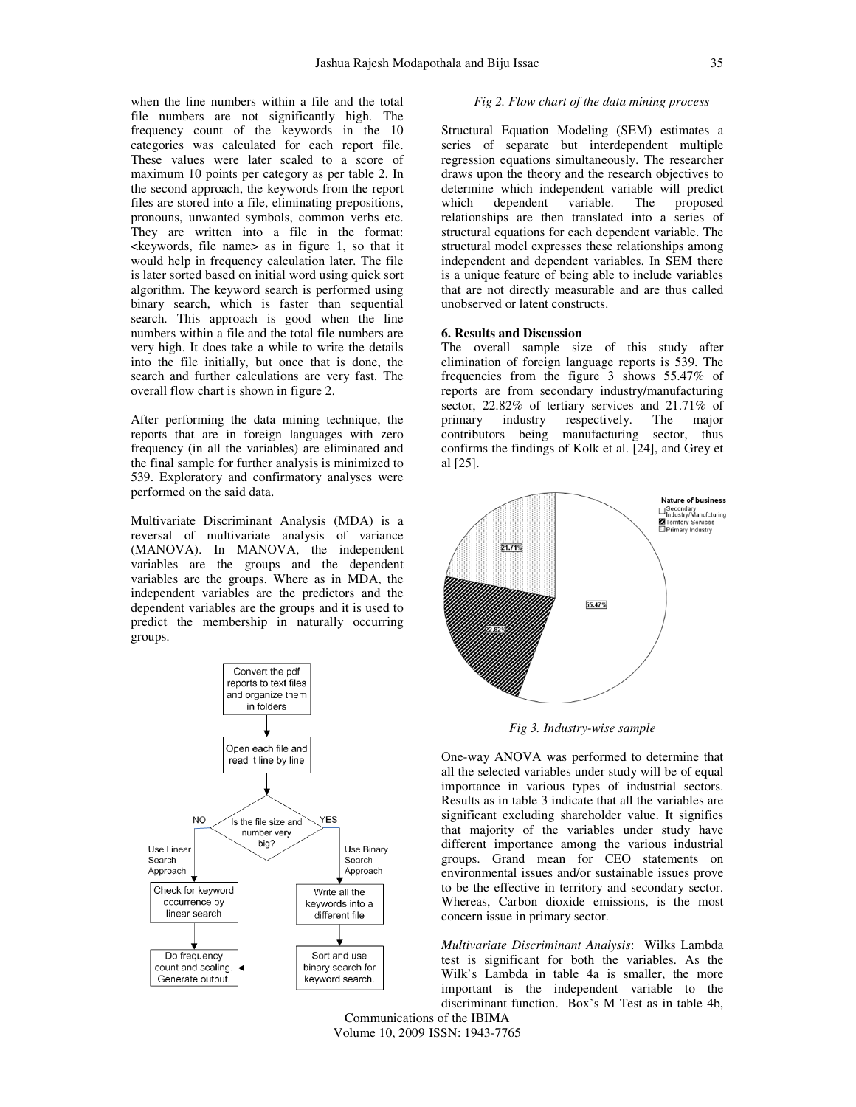when the line numbers within a file and the total file numbers are not significantly high. The frequency count of the keywords in the 10 categories was calculated for each report file. These values were later scaled to a score of maximum 10 points per category as per table 2. In the second approach, the keywords from the report files are stored into a file, eliminating prepositions, pronouns, unwanted symbols, common verbs etc. They are written into a file in the format: <keywords, file name> as in figure 1, so that it would help in frequency calculation later. The file is later sorted based on initial word using quick sort algorithm. The keyword search is performed using binary search, which is faster than sequential search. This approach is good when the line numbers within a file and the total file numbers are very high. It does take a while to write the details

into the file initially, but once that is done, the search and further calculations are very fast. The overall flow chart is shown in figure 2.

After performing the data mining technique, the reports that are in foreign languages with zero frequency (in all the variables) are eliminated and the final sample for further analysis is minimized to 539. Exploratory and confirmatory analyses were performed on the said data.

Multivariate Discriminant Analysis (MDA) is a reversal of multivariate analysis of variance (MANOVA). In MANOVA, the independent variables are the groups and the dependent variables are the groups. Where as in MDA, the independent variables are the predictors and the dependent variables are the groups and it is used to predict the membership in naturally occurring groups.



#### *Fig 2. Flow chart of the data mining process*

Structural Equation Modeling (SEM) estimates a series of separate but interdependent multiple regression equations simultaneously. The researcher draws upon the theory and the research objectives to determine which independent variable will predict which dependent variable. The proposed relationships are then translated into a series of structural equations for each dependent variable. The structural model expresses these relationships among independent and dependent variables. In SEM there is a unique feature of being able to include variables that are not directly measurable and are thus called unobserved or latent constructs.

## **6. Results and Discussion**

The overall sample size of this study after elimination of foreign language reports is 539. The frequencies from the figure 3 shows 55.47% of reports are from secondary industry/manufacturing sector, 22.82% of tertiary services and 21.71% of primary industry respectively. The major contributors being manufacturing sector, thus confirms the findings of Kolk et al. [24], and Grey et al [25].



*Fig 3. Industry-wise sample*

One-way ANOVA was performed to determine that all the selected variables under study will be of equal importance in various types of industrial sectors. Results as in table 3 indicate that all the variables are significant excluding shareholder value. It signifies that majority of the variables under study have different importance among the various industrial groups. Grand mean for CEO statements on environmental issues and/or sustainable issues prove to be the effective in territory and secondary sector. Whereas, Carbon dioxide emissions, is the most concern issue in primary sector.

*Multivariate Discriminant Analysis*: Wilks Lambda test is significant for both the variables. As the Wilk's Lambda in table 4a is smaller, the more important is the independent variable to the discriminant function. Box's M Test as in table 4b,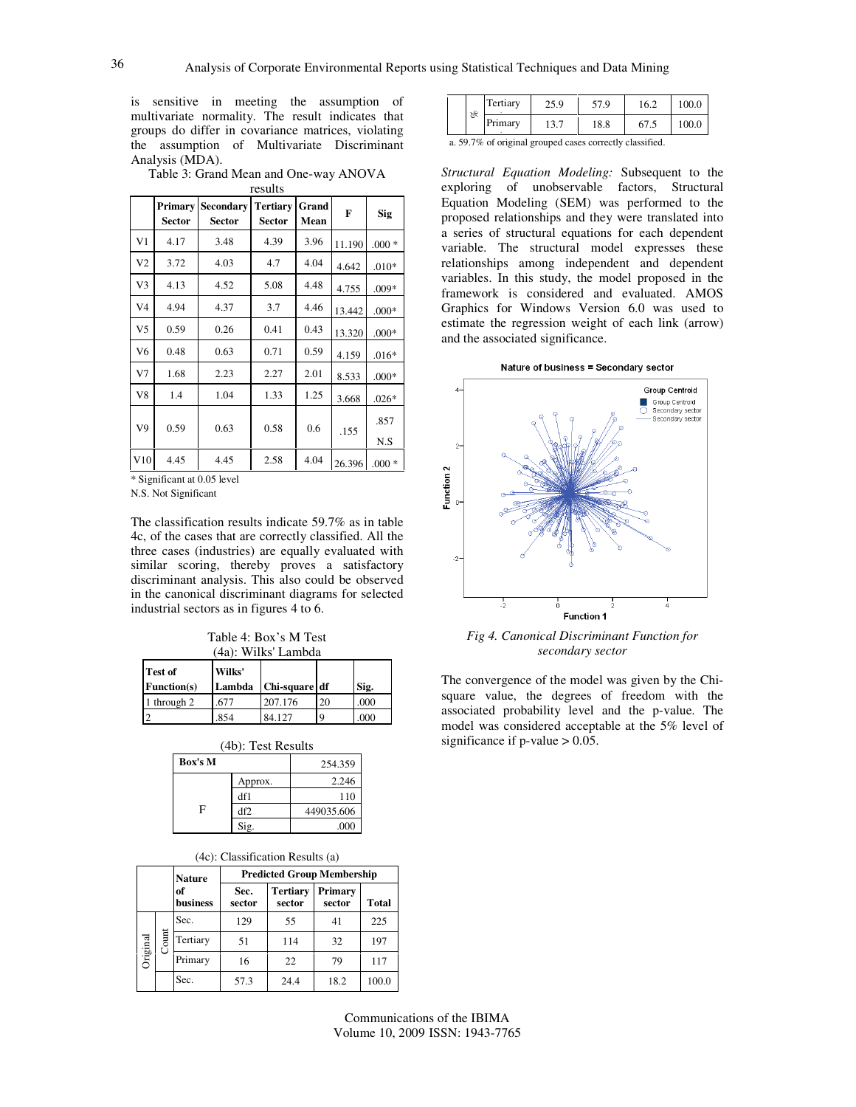is sensitive in meeting the assumption of multivariate normality. The result indicates that groups do differ in covariance matrices, violating the assumption of Multivariate Discriminant Analysis (MDA).

Table 3: Grand Mean and One-way ANOVA results

|     | Primary<br><b>Sector</b> | Secondary<br><b>Sector</b> | <b>Tertiary</b><br><b>Sector</b> | Grand<br>Mean | F      | <b>Sig</b>  |
|-----|--------------------------|----------------------------|----------------------------------|---------------|--------|-------------|
| V1  | 4.17                     | 3.48                       | 4.39                             | 3.96          | 11.190 | $.000*$     |
| V2  | 3.72                     | 4.03                       | 4.7                              | 4.04          | 4.642  | $.010*$     |
| V3  | 4.13                     | 4.52                       | 5.08                             | 4.48          | 4.755  | $.009*$     |
| V4  | 4.94                     | 4.37                       | 3.7                              | 4.46          | 13.442 | $.000*$     |
| V5  | 0.59                     | 0.26                       | 0.41                             | 0.43          | 13.320 | $.000*$     |
| V6  | 0.48                     | 0.63                       | 0.71                             | 0.59          | 4.159  | $.016*$     |
| V7  | 1.68                     | 2.23                       | 2.27                             | 2.01          | 8.533  | $.000*$     |
| V8  | 1.4                      | 1.04                       | 1.33                             | 1.25          | 3.668  | $.026*$     |
| V9  | 0.59                     | 0.63                       | 0.58                             | 0.6           | .155   | .857<br>N.S |
| V10 | 4.45                     | 4.45                       | 2.58                             | 4.04          | 26.396 | $.000 *$    |

\* Significant at 0.05 level

N.S. Not Significant

The classification results indicate 59.7% as in table 4c, of the cases that are correctly classified. All the three cases (industries) are equally evaluated with similar scoring, thereby proves a satisfactory discriminant analysis. This also could be observed in the canonical discriminant diagrams for selected industrial sectors as in figures 4 to 6.

Table 4: Box's M Test (4a): Wilks' Lambda

| Test of<br>Function(s) | Wilks'<br>Lambda | Chi-square df |    | Sig. |
|------------------------|------------------|---------------|----|------|
| 1 through 2            | 677              | 207.176       | 20 | .000 |
|                        | 854              | 84.127        | 9  | 000  |

| Box's M |         | 254.359    |
|---------|---------|------------|
|         | Approx. | 2.246      |
|         | df1     | 110        |
| F       | df2     | 449035.606 |
|         | Sig.    | .000       |

#### (4c): Classification Results (a)

|          |       |                       | <b>Predicted Group Membership</b><br><b>Nature</b> |                           |                   |              |  |
|----------|-------|-----------------------|----------------------------------------------------|---------------------------|-------------------|--------------|--|
|          |       | of<br><b>business</b> | Sec.<br>sector                                     | <b>Tertiary</b><br>sector | Primary<br>sector | <b>Total</b> |  |
|          |       | Sec.                  | 129                                                | 55                        | 41                | 225          |  |
| Original | Count | Tertiary              | 51                                                 | 114                       | 32                | 197          |  |
|          |       | Primary               | 16                                                 | 22                        | 79                | 117          |  |
|          |       | Sec.                  | 57.3                                               | 24.4                      | 18.2              | 100.0        |  |

| of | Tertiary | 25 O<br>29.5 | 57.9 |        | 100.0 |
|----|----------|--------------|------|--------|-------|
|    | 'rimarv  | 19.1         | 18.8 | 0 / .J | 100.0 |

a. 59.7% of original grouped cases correctly classified.

*Structural Equation Modeling:* Subsequent to the exploring of unobservable factors, Structural Equation Modeling (SEM) was performed to the proposed relationships and they were translated into a series of structural equations for each dependent variable. The structural model expresses these relationships among independent and dependent variables. In this study, the model proposed in the framework is considered and evaluated. AMOS Graphics for Windows Version 6.0 was used to estimate the regression weight of each link (arrow) and the associated significance.





*Fig 4. Canonical Discriminant Function for secondary sector* 

The convergence of the model was given by the Chisquare value, the degrees of freedom with the associated probability level and the p-value. The model was considered acceptable at the 5% level of significance if  $p$ -value  $> 0.05$ .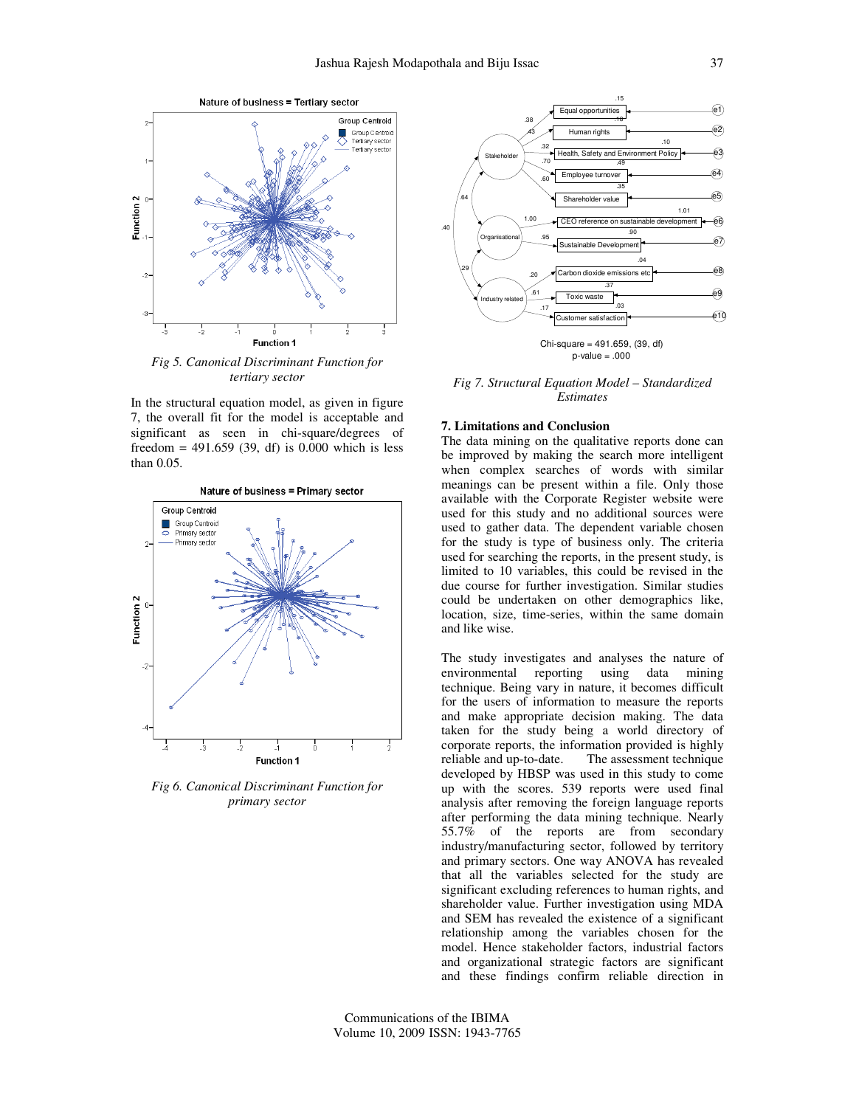

*Fig 5. Canonical Discriminant Function for tertiary sector* 

In the structural equation model, as given in figure 7, the overall fit for the model is acceptable and significant as seen in chi-square/degrees of freedom =  $491.659$  (39, df) is 0.000 which is less than 0.05.



*Fig 6. Canonical Discriminant Function for primary sector* 



Chi-square = 491.659, (39, df)  $p-value = .000$ 

*Fig 7. Structural Equation Model – Standardized Estimates* 

## **7. Limitations and Conclusion**

The data mining on the qualitative reports done can be improved by making the search more intelligent when complex searches of words with similar meanings can be present within a file. Only those available with the Corporate Register website were used for this study and no additional sources were used to gather data. The dependent variable chosen for the study is type of business only. The criteria used for searching the reports, in the present study, is limited to 10 variables, this could be revised in the due course for further investigation. Similar studies could be undertaken on other demographics like, location, size, time-series, within the same domain and like wise.

The study investigates and analyses the nature of environmental reporting using data mining technique. Being vary in nature, it becomes difficult for the users of information to measure the reports and make appropriate decision making. The data taken for the study being a world directory of corporate reports, the information provided is highly reliable and up-to-date. The assessment technique developed by HBSP was used in this study to come up with the scores. 539 reports were used final analysis after removing the foreign language reports after performing the data mining technique. Nearly 55.7% of the reports are from secondary industry/manufacturing sector, followed by territory and primary sectors. One way ANOVA has revealed that all the variables selected for the study are significant excluding references to human rights, and shareholder value. Further investigation using MDA and SEM has revealed the existence of a significant relationship among the variables chosen for the model. Hence stakeholder factors, industrial factors and organizational strategic factors are significant and these findings confirm reliable direction in